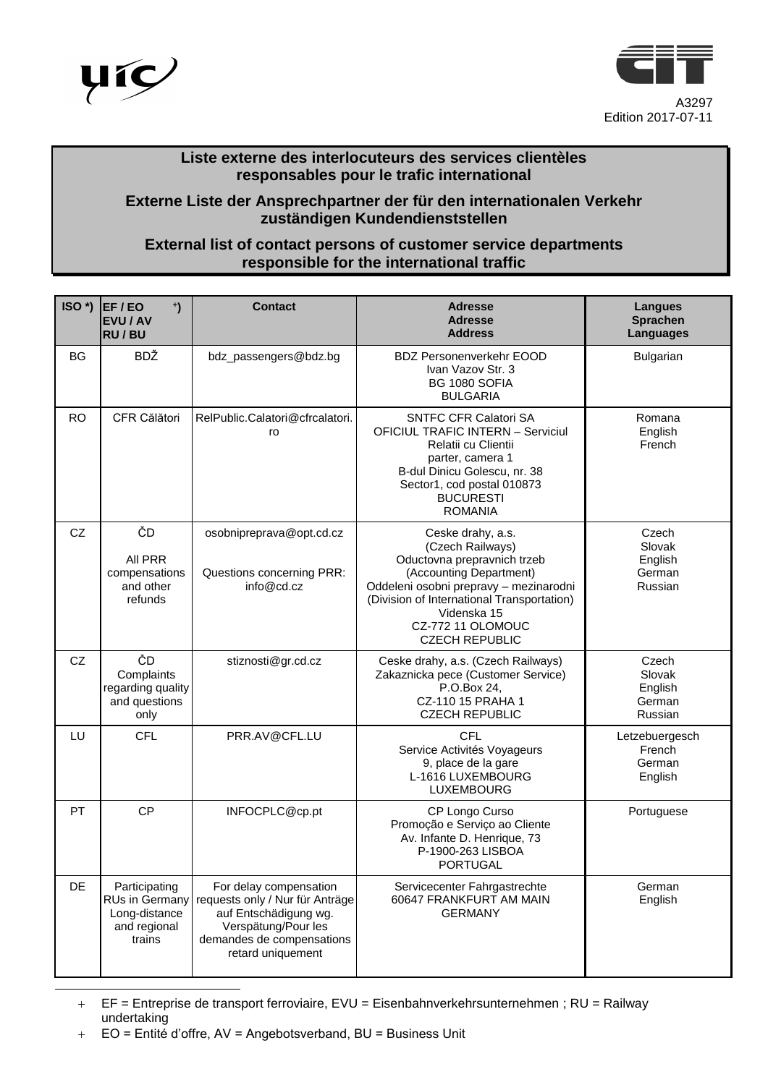



## **Liste externe des interlocuteurs des services clientèles responsables pour le trafic international**

## **Externe Liste der Ansprechpartner der für den internationalen Verkehr zuständigen Kundendienststellen**

## **External list of contact persons of customer service departments responsible for the international traffic**

| $ISO^*$ ) | $\ddot{\phantom{0}}$<br>EF/EO<br><b>EVU / AV</b><br><b>RU/BU</b>                  | <b>Contact</b>                                                                                                                                              | <b>Adresse</b><br><b>Adresse</b><br><b>Address</b>                                                                                                                                                                                                   | Langues<br><b>Sprachen</b><br><b>Languages</b>  |
|-----------|-----------------------------------------------------------------------------------|-------------------------------------------------------------------------------------------------------------------------------------------------------------|------------------------------------------------------------------------------------------------------------------------------------------------------------------------------------------------------------------------------------------------------|-------------------------------------------------|
| <b>BG</b> | BDŽ                                                                               | bdz_passengers@bdz.bg                                                                                                                                       | <b>BDZ Personenverkehr EOOD</b><br>Ivan Vazov Str. 3<br>BG 1080 SOFIA<br><b>BULGARIA</b>                                                                                                                                                             | <b>Bulgarian</b>                                |
| <b>RO</b> | CFR Călători                                                                      | RelPublic.Calatori@cfrcalatori.<br>ro                                                                                                                       | <b>SNTFC CFR Calatori SA</b><br><b>OFICIUL TRAFIC INTERN - Serviciul</b><br>Relatii cu Clientii<br>parter, camera 1<br>B-dul Dinicu Golescu, nr. 38<br>Sector1, cod postal 010873<br><b>BUCURESTI</b><br><b>ROMANIA</b>                              | Romana<br>English<br>French                     |
| CZ        | ČD<br>All PRR<br>compensations<br>and other<br>refunds                            | osobnipreprava@opt.cd.cz<br>Questions concerning PRR:<br>info@cd.cz                                                                                         | Ceske drahy, a.s.<br>(Czech Railways)<br>Oductovna prepravnich trzeb<br>(Accounting Department)<br>Oddeleni osobni prepravy - mezinarodni<br>(Division of International Transportation)<br>Videnska 15<br>CZ-772 11 OLOMOUC<br><b>CZECH REPUBLIC</b> | Czech<br>Slovak<br>English<br>German<br>Russian |
| CZ        | ČD<br>Complaints<br>regarding quality<br>and questions<br>only                    | stiznosti@gr.cd.cz                                                                                                                                          | Ceske drahy, a.s. (Czech Railways)<br>Zakaznicka pece (Customer Service)<br>P.O.Box 24,<br>CZ-110 15 PRAHA 1<br><b>CZECH REPUBLIC</b>                                                                                                                | Czech<br>Slovak<br>English<br>German<br>Russian |
| LU        | <b>CFL</b>                                                                        | PRR.AV@CFL.LU                                                                                                                                               | CFL<br>Service Activités Voyageurs<br>9, place de la gare<br>L-1616 LUXEMBOURG<br><b>LUXEMBOURG</b>                                                                                                                                                  | Letzebuergesch<br>French<br>German<br>English   |
| PT        | <b>CP</b>                                                                         | INFOCPLC@cp.pt                                                                                                                                              | CP Longo Curso<br>Promoção e Serviço ao Cliente<br>Av. Infante D. Henrique, 73<br>P-1900-263 LISBOA<br><b>PORTUGAL</b>                                                                                                                               | Portuguese                                      |
| <b>DE</b> | Participating<br><b>RUs in Germany</b><br>Long-distance<br>and regional<br>trains | For delay compensation<br>requests only / Nur für Anträge<br>auf Entschädigung wg.<br>Verspätung/Pour les<br>demandes de compensations<br>retard uniquement | Servicecenter Fahrgastrechte<br>60647 FRANKFURT AM MAIN<br><b>GERMANY</b>                                                                                                                                                                            | German<br>English                               |

 EF = Entreprise de transport ferroviaire, EVU = Eisenbahnverkehrsunternehmen ; RU = Railway undertaking

l

EO = Entité d'offre, AV = Angebotsverband, BU = Business Unit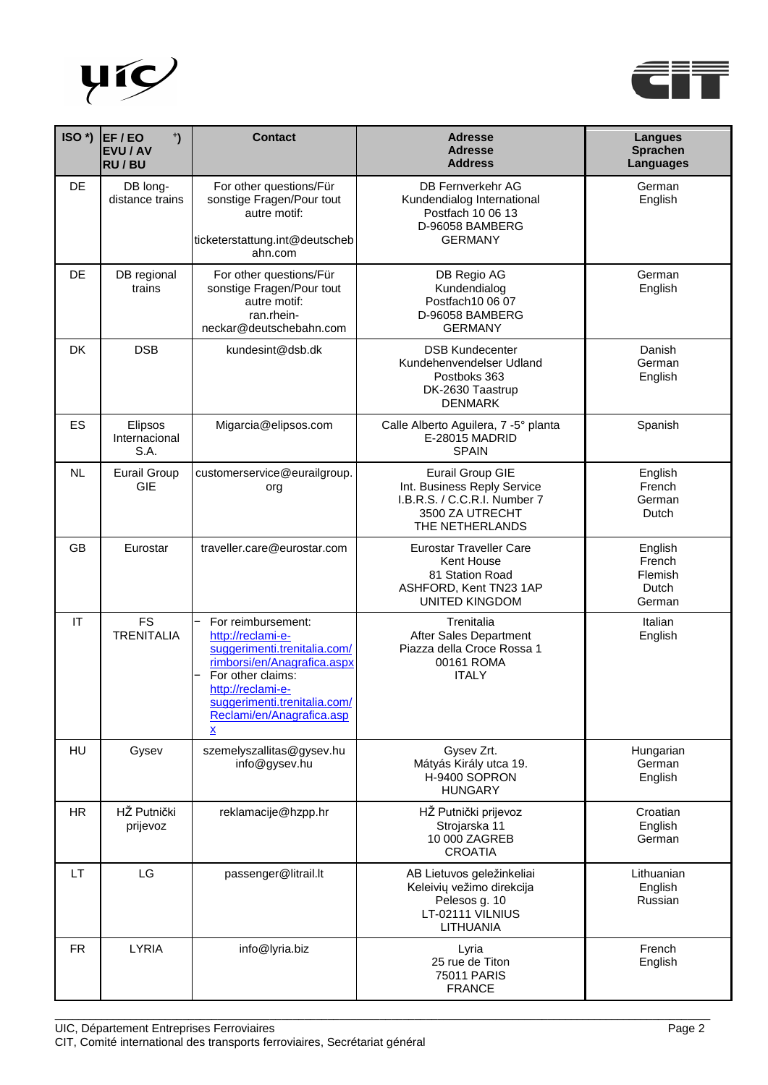



| ISO <sup>*</sup> )     | $\ddot{\phantom{0}}$<br>EF/EO<br><b>EVU / AV</b><br><b>RU/BU</b> | <b>Contact</b>                                                                                                                                                                                                            | <b>Adresse</b><br><b>Adresse</b><br><b>Address</b>                                                                           | <b>Langues</b><br><b>Sprachen</b><br>Languages  |
|------------------------|------------------------------------------------------------------|---------------------------------------------------------------------------------------------------------------------------------------------------------------------------------------------------------------------------|------------------------------------------------------------------------------------------------------------------------------|-------------------------------------------------|
| DE.                    | DB long-<br>distance trains                                      | For other questions/Für<br>sonstige Fragen/Pour tout<br>autre motif:<br>ticketerstattung.int@deutscheb<br>ahn.com                                                                                                         | <b>DB Fernverkehr AG</b><br>Kundendialog International<br>Postfach 10 06 13<br>D-96058 BAMBERG<br><b>GERMANY</b>             | German<br>English                               |
| <b>DE</b>              | DB regional<br>trains                                            | For other questions/Für<br>sonstige Fragen/Pour tout<br>autre motif:<br>ran.rhein-<br>neckar@deutschebahn.com                                                                                                             | DB Regio AG<br>Kundendialog<br>Postfach10 06 07<br>D-96058 BAMBERG<br><b>GERMANY</b>                                         |                                                 |
| DK                     | <b>DSB</b>                                                       | kundesint@dsb.dk                                                                                                                                                                                                          | <b>DSB Kundecenter</b><br>Kundehenvendelser Udland<br>Postboks 363<br>DK-2630 Taastrup<br><b>DENMARK</b>                     | Danish<br>German<br>English                     |
| ES                     | Elipsos<br>Internacional<br>S.A.                                 | Migarcia@elipsos.com                                                                                                                                                                                                      | Calle Alberto Aguilera, 7 -5° planta<br><b>E-28015 MADRID</b><br><b>SPAIN</b>                                                | Spanish                                         |
| NL                     | <b>Eurail Group</b><br>GIE                                       | customerservice@eurailgroup.<br>org                                                                                                                                                                                       | <b>Eurail Group GIE</b><br>Int. Business Reply Service<br>I.B.R.S. / C.C.R.I. Number 7<br>3500 ZA UTRECHT<br>THE NETHERLANDS | English<br>French<br>German<br>Dutch            |
| <b>GB</b>              | Eurostar                                                         | traveller.care@eurostar.com                                                                                                                                                                                               | <b>Eurostar Traveller Care</b><br>Kent House<br>81 Station Road<br>ASHFORD, Kent TN23 1AP<br><b>UNITED KINGDOM</b>           | English<br>French<br>Flemish<br>Dutch<br>German |
| $\mathsf{I}\mathsf{T}$ | <b>FS</b><br><b>TRENITALIA</b>                                   | For reimbursement:<br>http://reclami-e-<br>suggerimenti.trenitalia.com/<br>rimborsi/en/Anagrafica.aspx<br>For other claims:<br>http://reclami-e-<br>suggerimenti.trenitalia.com/<br>Reclami/en/Anagrafica.asp<br><u>x</u> | Trenitalia<br>After Sales Department<br>Piazza della Croce Rossa 1<br>00161 ROMA<br><b>ITALY</b>                             | Italian<br>English                              |
| HU                     | Gysev                                                            | szemelyszallitas@gysev.hu<br>info@gysev.hu                                                                                                                                                                                | Gysev Zrt.<br>Mátyás Király utca 19.<br>H-9400 SOPRON<br><b>HUNGARY</b>                                                      | Hungarian<br>German<br>English                  |
| <b>HR</b>              | HŽ Putnički<br>prijevoz                                          | reklamacije@hzpp.hr                                                                                                                                                                                                       | HŽ Putnički prijevoz<br>Strojarska 11<br>10 000 ZAGREB<br><b>CROATIA</b>                                                     | Croatian<br>English<br>German                   |
| LT.                    | LG                                                               | passenger@litrail.lt<br>AB Lietuvos geležinkeliai<br>Keleivių vežimo direkcija<br>Pelesos g. 10<br>LT-02111 VILNIUS<br>LITHUANIA                                                                                          |                                                                                                                              | Lithuanian<br>English<br>Russian                |
| <b>FR</b>              | <b>LYRIA</b>                                                     | info@lyria.biz                                                                                                                                                                                                            | Lyria<br>25 rue de Titon<br><b>75011 PARIS</b><br><b>FRANCE</b>                                                              | French<br>English                               |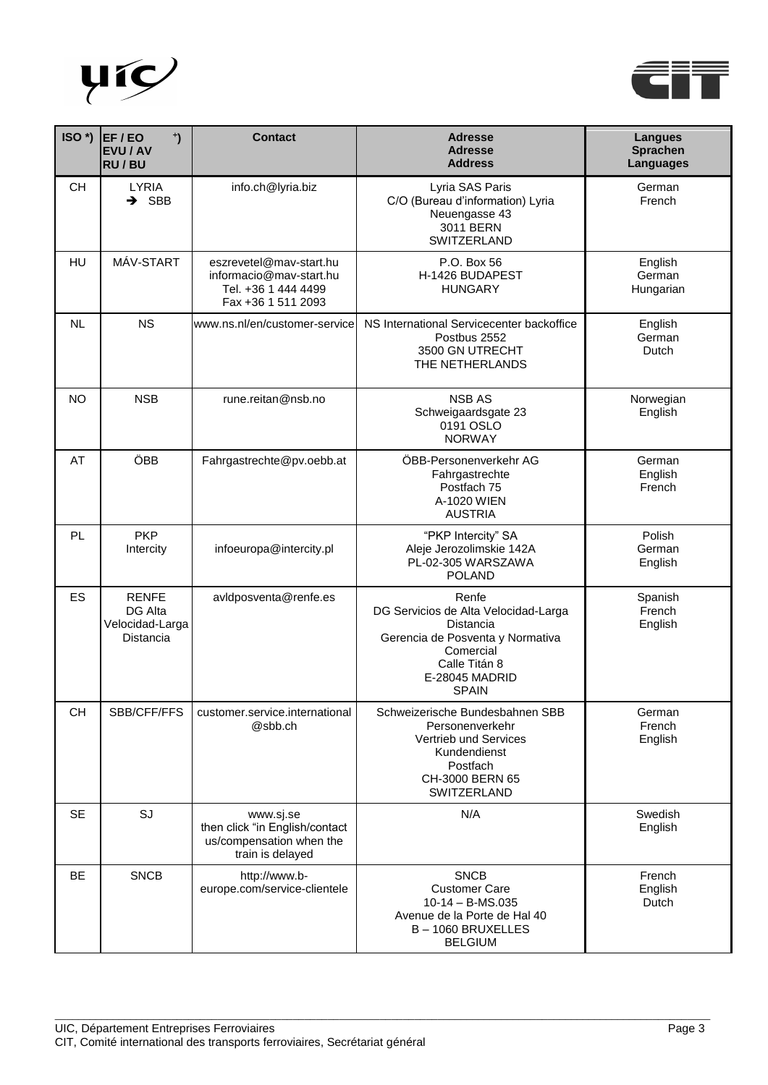



| ISO <sup>*</sup> ) | EF/EO<br>$\ddot{\phantom{0}}$<br><b>EVU / AV</b><br><b>RU/BU</b> | <b>Contact</b>                                                                                  | <b>Adresse</b><br><b>Adresse</b><br><b>Address</b>                                                                                                             | <b>Langues</b><br><b>Sprachen</b><br>Languages |
|--------------------|------------------------------------------------------------------|-------------------------------------------------------------------------------------------------|----------------------------------------------------------------------------------------------------------------------------------------------------------------|------------------------------------------------|
| <b>CH</b>          | <b>LYRIA</b><br>$\rightarrow$ SBB                                | info.ch@lyria.biz                                                                               | Lyria SAS Paris<br>C/O (Bureau d'information) Lyria<br>Neuengasse 43<br>3011 BERN<br>SWITZERLAND                                                               | German<br>French                               |
| <b>HU</b>          | MÁV-START                                                        | eszrevetel@mav-start.hu<br>informacio@mav-start.hu<br>Tel. +36 1 444 4499<br>Fax +36 1 511 2093 | P.O. Box 56<br>H-1426 BUDAPEST<br><b>HUNGARY</b>                                                                                                               | English<br>German<br>Hungarian                 |
| <b>NL</b>          | <b>NS</b>                                                        | www.ns.nl/en/customer-service                                                                   | NS International Servicecenter backoffice<br>Postbus 2552<br>3500 GN UTRECHT<br>THE NETHERLANDS                                                                | English<br>German<br>Dutch                     |
| <b>NO</b>          | <b>NSB</b>                                                       | rune.reitan@nsb.no                                                                              | <b>NSB AS</b><br>Schweigaardsgate 23<br>0191 OSLO<br><b>NORWAY</b>                                                                                             | Norwegian<br>English                           |
| AT                 | ÖBB                                                              | Fahrgastrechte@pv.oebb.at                                                                       | ÖBB-Personenverkehr AG<br>Fahrgastrechte<br>Postfach 75<br>A-1020 WIEN<br><b>AUSTRIA</b>                                                                       | German<br>English<br>French                    |
| PL                 | <b>PKP</b><br>Intercity                                          | infoeuropa@intercity.pl                                                                         | "PKP Intercity" SA<br>Aleje Jerozolimskie 142A<br>PL-02-305 WARSZAWA<br><b>POLAND</b>                                                                          | Polish<br>German<br>English                    |
| ES                 | <b>RENFE</b><br>DG Alta<br>Velocidad-Larga<br>Distancia          | avidposventa@renfe.es                                                                           | Renfe<br>DG Servicios de Alta Velocidad-Larga<br>Distancia<br>Gerencia de Posventa y Normativa<br>Comercial<br>Calle Titán 8<br>E-28045 MADRID<br><b>SPAIN</b> | Spanish<br>French<br>English                   |
| <b>CH</b>          | SBB/CFF/FFS                                                      | customer.service.international<br>@sbb.ch                                                       | Schweizerische Bundesbahnen SBB<br>Personenverkehr<br>Vertrieb und Services<br>Kundendienst<br>Postfach<br>CH-3000 BERN 65<br>SWITZERLAND                      | German<br>French<br>English                    |
| <b>SE</b>          | SJ                                                               | www.sj.se<br>then click "in English/contact<br>us/compensation when the<br>train is delayed     | N/A                                                                                                                                                            | Swedish<br>English                             |
| <b>BE</b>          | <b>SNCB</b>                                                      | http://www.b-<br>europe.com/service-clientele                                                   | <b>SNCB</b><br><b>Customer Care</b><br>$10-14 - B$ -MS.035<br>Avenue de la Porte de Hal 40<br>B-1060 BRUXELLES<br><b>BELGIUM</b>                               | French<br>English<br>Dutch                     |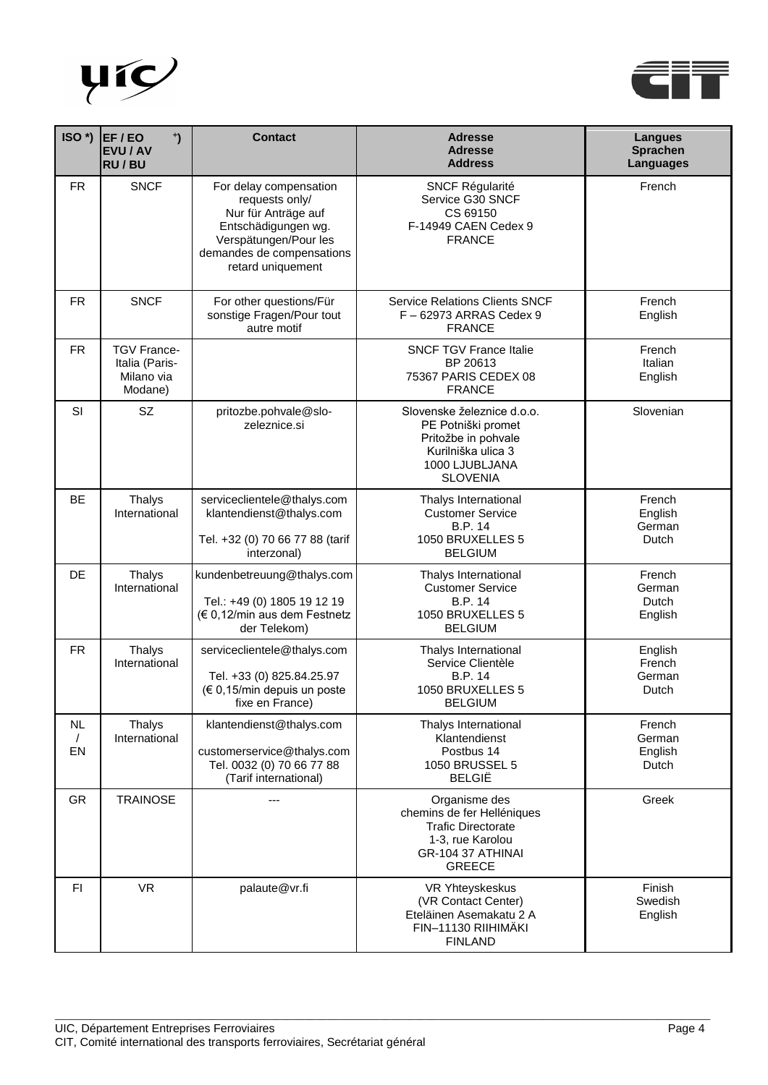



| $ISO^*$                | EF/EO<br>$\ddot{\phantom{0}}$<br>EVU / AV<br><b>RU/BU</b>     | <b>Contact</b>                                                                                                                                                    | <b>Adresse</b><br><b>Adresse</b><br><b>Address</b>                                                                                 | <b>Langues</b><br><b>Sprachen</b><br><b>Languages</b> |
|------------------------|---------------------------------------------------------------|-------------------------------------------------------------------------------------------------------------------------------------------------------------------|------------------------------------------------------------------------------------------------------------------------------------|-------------------------------------------------------|
| <b>FR</b>              | <b>SNCF</b>                                                   | For delay compensation<br>requests only/<br>Nur für Anträge auf<br>Entschädigungen wg.<br>Verspätungen/Pour les<br>demandes de compensations<br>retard uniquement | <b>SNCF Régularité</b><br>Service G30 SNCF<br>CS 69150<br>F-14949 CAEN Cedex 9<br><b>FRANCE</b>                                    | French                                                |
| <b>FR</b>              | <b>SNCF</b>                                                   | For other questions/Für<br>sonstige Fragen/Pour tout<br>autre motif                                                                                               | <b>Service Relations Clients SNCF</b><br>F-62973 ARRAS Cedex 9<br><b>FRANCE</b>                                                    | French<br>English                                     |
| <b>FR</b>              | <b>TGV France-</b><br>Italia (Paris-<br>Milano via<br>Modane) |                                                                                                                                                                   | <b>SNCF TGV France Italie</b><br>BP 20613<br>75367 PARIS CEDEX 08<br><b>FRANCE</b>                                                 | French<br>Italian<br>English                          |
| SI                     | <b>SZ</b>                                                     | pritozbe.pohvale@slo-<br>zeleznice.si                                                                                                                             | Slovenske železnice d.o.o.<br>PE Potniški promet<br>Pritožbe in pohvale<br>Kurilniška ulica 3<br>1000 LJUBLJANA<br><b>SLOVENIA</b> | Slovenian                                             |
| <b>BE</b>              | <b>Thalys</b><br>International                                | serviceclientele@thalys.com<br>klantendienst@thalys.com<br>Tel. +32 (0) 70 66 77 88 (tarif<br>interzonal)                                                         | Thalys International<br><b>Customer Service</b><br><b>B.P. 14</b><br>1050 BRUXELLES 5<br><b>BELGIUM</b>                            | French<br>English<br>German<br>Dutch                  |
| DE                     | Thalys<br>International                                       | kundenbetreuung@thalys.com<br>Tel.: +49 (0) 1805 19 12 19<br>(€ 0,12/min aus dem Festnetz<br>der Telekom)                                                         | Thalys International<br><b>Customer Service</b><br>B.P. 14<br>1050 BRUXELLES 5<br><b>BELGIUM</b>                                   | French<br>German<br>Dutch<br>English                  |
| <b>FR</b>              | <b>Thalys</b><br>International                                | serviceclientele@thalys.com<br>Tel. +33 (0) 825.84.25.97<br>(€ 0,15/min depuis un poste<br>fixe en France)                                                        | Thalys International<br>Service Clientèle<br><b>B.P. 14</b><br>1050 BRUXELLES 5<br><b>BELGIUM</b>                                  | English<br>French<br>German<br>Dutch                  |
| NL<br>$\sqrt{2}$<br>EN | <b>Thalys</b><br>International                                | klantendienst@thalys.com<br>customerservice@thalys.com<br>Tel. 0032 (0) 70 66 77 88<br>(Tarif international)                                                      | Thalys International<br>Klantendienst<br>Postbus 14<br>1050 BRUSSEL 5<br><b>BELGIË</b>                                             | French<br>German<br>English<br>Dutch                  |
| <b>GR</b>              | <b>TRAINOSE</b>                                               |                                                                                                                                                                   | Organisme des<br>chemins de fer Helléniques<br><b>Trafic Directorate</b><br>1-3, rue Karolou<br>GR-104 37 ATHINAI<br><b>GREECE</b> | Greek                                                 |
| FI                     | <b>VR</b>                                                     | palaute@vr.fi                                                                                                                                                     | VR Yhteyskeskus<br>(VR Contact Center)<br>Eteläinen Asemakatu 2 A<br>FIN-11130 RIIHIMÄKI<br><b>FINLAND</b>                         | Finish<br>Swedish<br>English                          |